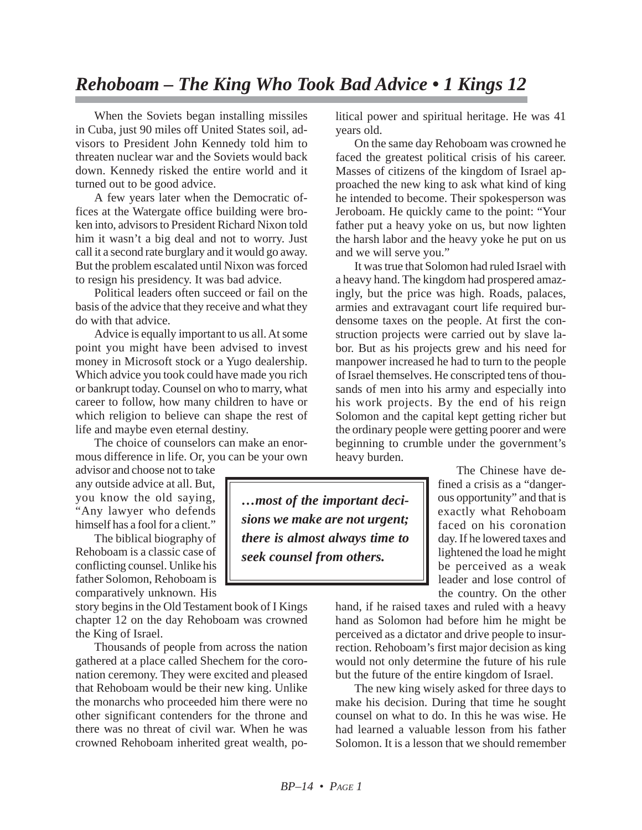When the Soviets began installing missiles in Cuba, just 90 miles off United States soil, advisors to President John Kennedy told him to threaten nuclear war and the Soviets would back down. Kennedy risked the entire world and it turned out to be good advice.

A few years later when the Democratic offices at the Watergate office building were broken into, advisors to President Richard Nixon told him it wasn't a big deal and not to worry. Just call it a second rate burglary and it would go away. But the problem escalated until Nixon was forced to resign his presidency. It was bad advice.

Political leaders often succeed or fail on the basis of the advice that they receive and what they do with that advice.

Advice is equally important to us all. At some point you might have been advised to invest money in Microsoft stock or a Yugo dealership. Which advice you took could have made you rich or bankrupt today. Counsel on who to marry, what career to follow, how many children to have or which religion to believe can shape the rest of life and maybe even eternal destiny.

The choice of counselors can make an enormous difference in life. Or, you can be your own

advisor and choose not to take any outside advice at all. But, you know the old saying, "Any lawyer who defends himself has a fool for a client."

The biblical biography of Rehoboam is a classic case of conflicting counsel. Unlike his father Solomon, Rehoboam is comparatively unknown. His

story begins in the Old Testament book of I Kings chapter 12 on the day Rehoboam was crowned the King of Israel.

Thousands of people from across the nation gathered at a place called Shechem for the coronation ceremony. They were excited and pleased that Rehoboam would be their new king. Unlike the monarchs who proceeded him there were no other significant contenders for the throne and there was no threat of civil war. When he was crowned Rehoboam inherited great wealth, po-

litical power and spiritual heritage. He was 41 years old.

On the same day Rehoboam was crowned he faced the greatest political crisis of his career. Masses of citizens of the kingdom of Israel approached the new king to ask what kind of king he intended to become. Their spokesperson was Jeroboam. He quickly came to the point: "Your father put a heavy yoke on us, but now lighten the harsh labor and the heavy yoke he put on us and we will serve you."

It was true that Solomon had ruled Israel with a heavy hand. The kingdom had prospered amazingly, but the price was high. Roads, palaces, armies and extravagant court life required burdensome taxes on the people. At first the construction projects were carried out by slave labor. But as his projects grew and his need for manpower increased he had to turn to the people of Israel themselves. He conscripted tens of thousands of men into his army and especially into his work projects. By the end of his reign Solomon and the capital kept getting richer but the ordinary people were getting poorer and were beginning to crumble under the government's heavy burden.

> The Chinese have defined a crisis as a "dangerous opportunity" and that is exactly what Rehoboam faced on his coronation day. If he lowered taxes and lightened the load he might be perceived as a weak leader and lose control of the country. On the other

hand, if he raised taxes and ruled with a heavy hand as Solomon had before him he might be perceived as a dictator and drive people to insurrection. Rehoboam's first major decision as king would not only determine the future of his rule but the future of the entire kingdom of Israel.

The new king wisely asked for three days to make his decision. During that time he sought counsel on what to do. In this he was wise. He had learned a valuable lesson from his father Solomon. It is a lesson that we should remember

*…most of the important decisions we make are not urgent; there is almost always time to seek counsel from others.*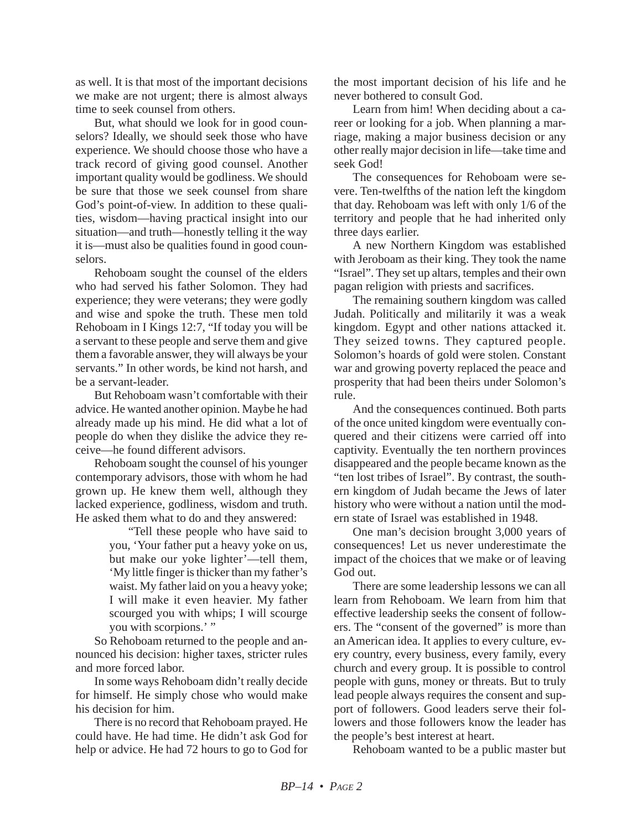as well. It is that most of the important decisions we make are not urgent; there is almost always time to seek counsel from others.

But, what should we look for in good counselors? Ideally, we should seek those who have experience. We should choose those who have a track record of giving good counsel. Another important quality would be godliness. We should be sure that those we seek counsel from share God's point-of-view. In addition to these qualities, wisdom—having practical insight into our situation—and truth—honestly telling it the way it is—must also be qualities found in good counselors.

Rehoboam sought the counsel of the elders who had served his father Solomon. They had experience; they were veterans; they were godly and wise and spoke the truth. These men told Rehoboam in I Kings 12:7, "If today you will be a servant to these people and serve them and give them a favorable answer, they will always be your servants." In other words, be kind not harsh, and be a servant-leader.

But Rehoboam wasn't comfortable with their advice. He wanted another opinion. Maybe he had already made up his mind. He did what a lot of people do when they dislike the advice they receive—he found different advisors.

Rehoboam sought the counsel of his younger contemporary advisors, those with whom he had grown up. He knew them well, although they lacked experience, godliness, wisdom and truth. He asked them what to do and they answered:

"Tell these people who have said to you, 'Your father put a heavy yoke on us, but make our yoke lighter'—tell them, 'My little finger is thicker than my father's waist. My father laid on you a heavy yoke; I will make it even heavier. My father scourged you with whips; I will scourge you with scorpions.'"

So Rehoboam returned to the people and announced his decision: higher taxes, stricter rules and more forced labor.

In some ways Rehoboam didn't really decide for himself. He simply chose who would make his decision for him.

There is no record that Rehoboam prayed. He could have. He had time. He didn't ask God for help or advice. He had 72 hours to go to God for the most important decision of his life and he never bothered to consult God.

Learn from him! When deciding about a career or looking for a job. When planning a marriage, making a major business decision or any other really major decision in life—take time and seek God!

The consequences for Rehoboam were severe. Ten-twelfths of the nation left the kingdom that day. Rehoboam was left with only 1/6 of the territory and people that he had inherited only three days earlier.

A new Northern Kingdom was established with Jeroboam as their king. They took the name "Israel". They set up altars, temples and their own pagan religion with priests and sacrifices.

The remaining southern kingdom was called Judah. Politically and militarily it was a weak kingdom. Egypt and other nations attacked it. They seized towns. They captured people. Solomon's hoards of gold were stolen. Constant war and growing poverty replaced the peace and prosperity that had been theirs under Solomon's rule.

And the consequences continued. Both parts of the once united kingdom were eventually conquered and their citizens were carried off into captivity. Eventually the ten northern provinces disappeared and the people became known as the "ten lost tribes of Israel". By contrast, the southern kingdom of Judah became the Jews of later history who were without a nation until the modern state of Israel was established in 1948.

One man's decision brought 3,000 years of consequences! Let us never underestimate the impact of the choices that we make or of leaving God out.

There are some leadership lessons we can all learn from Rehoboam. We learn from him that effective leadership seeks the consent of followers. The "consent of the governed" is more than an American idea. It applies to every culture, every country, every business, every family, every church and every group. It is possible to control people with guns, money or threats. But to truly lead people always requires the consent and support of followers. Good leaders serve their followers and those followers know the leader has the people's best interest at heart.

Rehoboam wanted to be a public master but